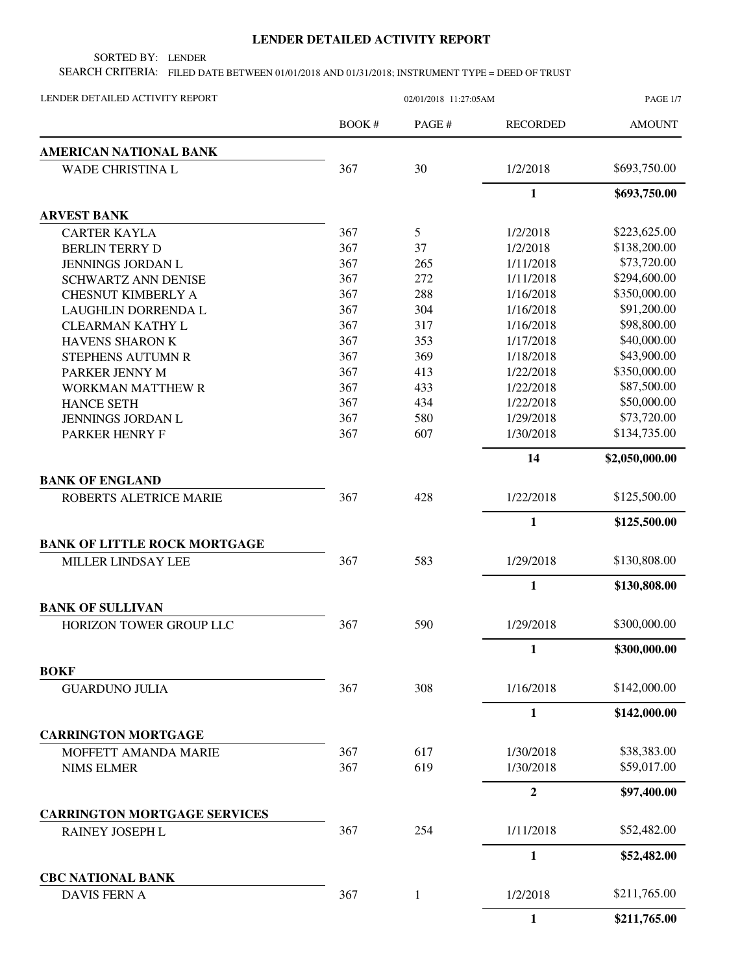## **LENDER DETAILED ACTIVITY REPORT**

SORTED BY: LENDER

SEARCH CRITERIA: FILED DATE BETWEEN 01/01/2018 AND 01/31/2018; INSTRUMENT TYPE = DEED OF TRUST

| LENDER DETAILED ACTIVITY REPORT     | 02/01/2018 11:27:05AM |              |                  | <b>PAGE 1/7</b> |  |
|-------------------------------------|-----------------------|--------------|------------------|-----------------|--|
|                                     | BOOK #                | PAGE #       | <b>RECORDED</b>  | <b>AMOUNT</b>   |  |
| <b>AMERICAN NATIONAL BANK</b>       |                       |              |                  |                 |  |
| WADE CHRISTINA L                    | 367                   | 30           | 1/2/2018         | \$693,750.00    |  |
|                                     |                       |              | $\mathbf{1}$     | \$693,750.00    |  |
| <b>ARVEST BANK</b>                  |                       |              |                  |                 |  |
| <b>CARTER KAYLA</b>                 | 367                   | 5            | 1/2/2018         | \$223,625.00    |  |
| <b>BERLIN TERRY D</b>               | 367                   | 37           | 1/2/2018         | \$138,200.00    |  |
| <b>JENNINGS JORDAN L</b>            | 367                   | 265          | 1/11/2018        | \$73,720.00     |  |
| <b>SCHWARTZ ANN DENISE</b>          | 367                   | 272          | 1/11/2018        | \$294,600.00    |  |
| <b>CHESNUT KIMBERLY A</b>           | 367                   | 288          | 1/16/2018        | \$350,000.00    |  |
| LAUGHLIN DORRENDA L                 | 367                   | 304          | 1/16/2018        | \$91,200.00     |  |
| <b>CLEARMAN KATHY L</b>             | 367                   | 317          | 1/16/2018        | \$98,800.00     |  |
| HAVENS SHARON K                     | 367                   | 353          | 1/17/2018        | \$40,000.00     |  |
| STEPHENS AUTUMN R                   | 367                   | 369          | 1/18/2018        | \$43,900.00     |  |
| PARKER JENNY M                      | 367                   | 413          | 1/22/2018        | \$350,000.00    |  |
| WORKMAN MATTHEW R                   | 367                   | 433          | 1/22/2018        | \$87,500.00     |  |
| <b>HANCE SETH</b>                   | 367                   | 434          | 1/22/2018        | \$50,000.00     |  |
| JENNINGS JORDAN L                   | 367                   | 580          | 1/29/2018        | \$73,720.00     |  |
| PARKER HENRY F                      | 367                   | 607          | 1/30/2018        | \$134,735.00    |  |
|                                     |                       |              | 14               | \$2,050,000.00  |  |
| <b>BANK OF ENGLAND</b>              |                       |              |                  |                 |  |
| ROBERTS ALETRICE MARIE              | 367                   | 428          | 1/22/2018        | \$125,500.00    |  |
|                                     |                       |              | $\mathbf{1}$     | \$125,500.00    |  |
| <b>BANK OF LITTLE ROCK MORTGAGE</b> |                       |              |                  |                 |  |
| MILLER LINDSAY LEE                  | 367                   | 583          | 1/29/2018        | \$130,808.00    |  |
|                                     |                       |              | $\mathbf{1}$     | \$130,808.00    |  |
| <b>BANK OF SULLIVAN</b>             |                       |              |                  |                 |  |
| HORIZON TOWER GROUP LLC             | 367                   | 590          | 1/29/2018        | \$300,000.00    |  |
|                                     |                       |              | 1                | \$300,000.00    |  |
| <b>BOKF</b>                         |                       |              |                  |                 |  |
| <b>GUARDUNO JULIA</b>               | 367                   | 308          | 1/16/2018        | \$142,000.00    |  |
|                                     |                       |              | $\mathbf{1}$     | \$142,000.00    |  |
| <b>CARRINGTON MORTGAGE</b>          |                       |              |                  |                 |  |
| MOFFETT AMANDA MARIE                | 367                   | 617          | 1/30/2018        | \$38,383.00     |  |
| <b>NIMS ELMER</b>                   | 367                   | 619          | 1/30/2018        | \$59,017.00     |  |
|                                     |                       |              | $\boldsymbol{2}$ | \$97,400.00     |  |
| <b>CARRINGTON MORTGAGE SERVICES</b> |                       |              |                  |                 |  |
| RAINEY JOSEPH L                     | 367                   | 254          | 1/11/2018        | \$52,482.00     |  |
|                                     |                       |              | $\mathbf{1}$     | \$52,482.00     |  |
| <b>CBC NATIONAL BANK</b>            |                       |              |                  |                 |  |
| <b>DAVIS FERN A</b>                 | 367                   | $\mathbf{1}$ | 1/2/2018         | \$211,765.00    |  |
|                                     |                       |              | 1                | \$211,765.00    |  |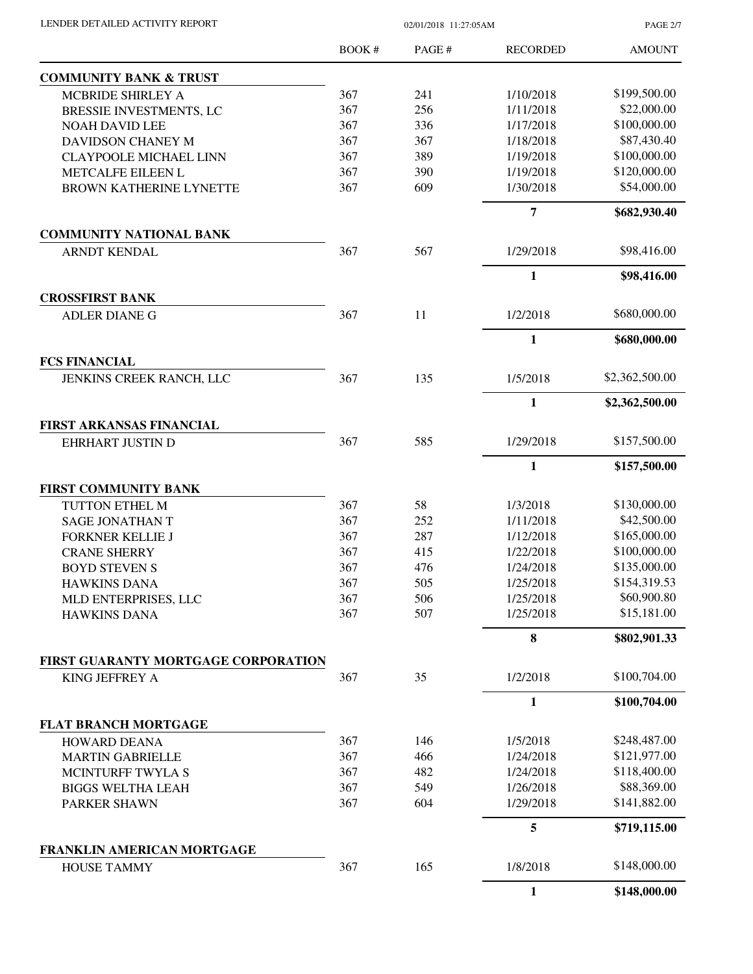| LENDER DETAILED ACTIVITY REPORT |  |
|---------------------------------|--|
|                                 |  |

02/01/2018 11:27:05AM

PAGE 2/7

|                                                       | BOOK# | PAGE# | <b>RECORDED</b> | <b>AMOUNT</b>  |
|-------------------------------------------------------|-------|-------|-----------------|----------------|
| <b>COMMUNITY BANK &amp; TRUST</b>                     |       |       |                 |                |
| MCBRIDE SHIRLEY A                                     | 367   | 241   | 1/10/2018       | \$199,500.00   |
| BRESSIE INVESTMENTS, LC                               | 367   | 256   | 1/11/2018       | \$22,000.00    |
| <b>NOAH DAVID LEE</b>                                 | 367   | 336   | 1/17/2018       | \$100,000.00   |
| DAVIDSON CHANEY M                                     | 367   | 367   | 1/18/2018       | \$87,430.40    |
| <b>CLAYPOOLE MICHAEL LINN</b>                         | 367   | 389   | 1/19/2018       | \$100,000.00   |
| METCALFE EILEEN L                                     | 367   | 390   | 1/19/2018       | \$120,000.00   |
| BROWN KATHERINE LYNETTE                               | 367   | 609   | 1/30/2018       | \$54,000.00    |
|                                                       |       |       | $\overline{7}$  | \$682,930.40   |
| <b>COMMUNITY NATIONAL BANK</b>                        |       |       |                 |                |
| ARNDT KENDAL                                          | 367   | 567   | 1/29/2018       | \$98,416.00    |
|                                                       |       |       | 1               | \$98,416.00    |
| <b>CROSSFIRST BANK</b>                                |       |       |                 | \$680,000.00   |
| <b>ADLER DIANE G</b>                                  | 367   | 11    | 1/2/2018        |                |
| <b>FCS FINANCIAL</b>                                  |       |       | 1               | \$680,000.00   |
| JENKINS CREEK RANCH, LLC                              | 367   | 135   | 1/5/2018        | \$2,362,500.00 |
|                                                       |       |       | $\mathbf{1}$    | \$2,362,500.00 |
| <b>FIRST ARKANSAS FINANCIAL</b>                       |       |       |                 |                |
| EHRHART JUSTIN D                                      | 367   | 585   | 1/29/2018       | \$157,500.00   |
|                                                       |       |       | 1               | \$157,500.00   |
| <b>FIRST COMMUNITY BANK</b>                           |       |       |                 |                |
| TUTTON ETHEL M                                        | 367   | 58    | 1/3/2018        | \$130,000.00   |
| <b>SAGE JONATHAN T</b>                                | 367   | 252   | 1/11/2018       | \$42,500.00    |
| <b>FORKNER KELLIE J</b>                               | 367   | 287   | 1/12/2018       | \$165,000.00   |
| <b>CRANE SHERRY</b>                                   | 367   | 415   | 1/22/2018       | \$100,000.00   |
| <b>BOYD STEVEN S</b>                                  | 367   | 476   | 1/24/2018       | \$135,000.00   |
| <b>HAWKINS DANA</b>                                   | 367   | 505   | 1/25/2018       | \$154,319.53   |
| MLD ENTERPRISES, LLC                                  | 367   | 506   | 1/25/2018       | \$60,900.80    |
| <b>HAWKINS DANA</b>                                   | 367   | 507   | 1/25/2018       | \$15,181.00    |
|                                                       |       |       | 8               | \$802,901.33   |
| FIRST GUARANTY MORTGAGE CORPORATION<br>KING JEFFREY A | 367   | 35    | 1/2/2018        | \$100,704.00   |
|                                                       |       |       |                 |                |
| <b>FLAT BRANCH MORTGAGE</b>                           |       |       | 1               | \$100,704.00   |
| <b>HOWARD DEANA</b>                                   | 367   | 146   | 1/5/2018        | \$248,487.00   |
|                                                       |       |       |                 |                |
| <b>MARTIN GABRIELLE</b>                               | 367   | 466   | 1/24/2018       | \$121,977.00   |
| MCINTURFF TWYLA S                                     | 367   | 482   | 1/24/2018       | \$118,400.00   |
| <b>BIGGS WELTHA LEAH</b>                              | 367   | 549   | 1/26/2018       | \$88,369.00    |
| PARKER SHAWN                                          | 367   | 604   | 1/29/2018       | \$141,882.00   |
|                                                       |       |       | 5               | \$719,115.00   |
| FRANKLIN AMERICAN MORTGAGE<br><b>HOUSE TAMMY</b>      | 367   | 165   | 1/8/2018        | \$148,000.00   |
|                                                       |       |       | $\mathbf{1}$    | \$148,000.00   |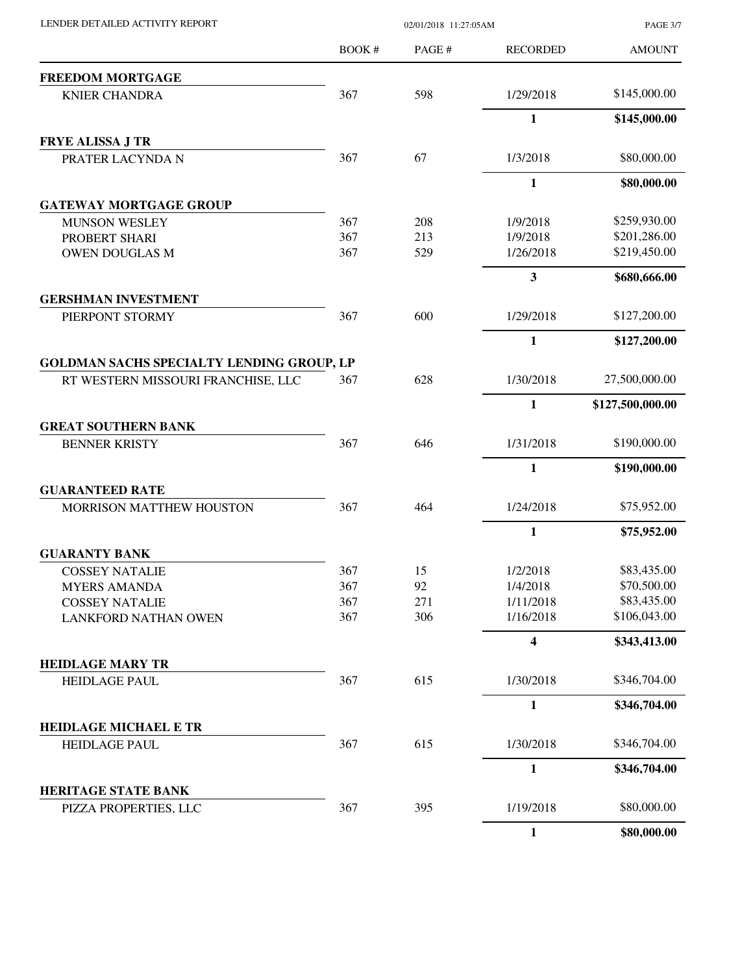| LENDER DETAILED ACTIVITY REPORT           | 02/01/2018 11:27:05AM |       |                 | <b>PAGE 3/7</b>  |
|-------------------------------------------|-----------------------|-------|-----------------|------------------|
|                                           | BOOK #                | PAGE# | <b>RECORDED</b> | <b>AMOUNT</b>    |
| <b>FREEDOM MORTGAGE</b>                   |                       |       |                 |                  |
| <b>KNIER CHANDRA</b>                      | 367                   | 598   | 1/29/2018       | \$145,000.00     |
|                                           |                       |       | 1               | \$145,000.00     |
| <b>FRYE ALISSA J TR</b>                   |                       |       |                 |                  |
| PRATER LACYNDA N                          | 367                   | 67    | 1/3/2018        | \$80,000.00      |
|                                           |                       |       | $\mathbf{1}$    | \$80,000.00      |
| <b>GATEWAY MORTGAGE GROUP</b>             |                       |       |                 |                  |
| <b>MUNSON WESLEY</b>                      | 367                   | 208   | 1/9/2018        | \$259,930.00     |
| PROBERT SHARI                             | 367                   | 213   | 1/9/2018        | \$201,286.00     |
| <b>OWEN DOUGLAS M</b>                     | 367                   | 529   | 1/26/2018       | \$219,450.00     |
|                                           |                       |       | 3               | \$680,666.00     |
| <b>GERSHMAN INVESTMENT</b>                |                       |       |                 |                  |
| PIERPONT STORMY                           | 367                   | 600   | 1/29/2018       | \$127,200.00     |
|                                           |                       |       | $\mathbf{1}$    | \$127,200.00     |
| GOLDMAN SACHS SPECIALTY LENDING GROUP, LP |                       |       |                 |                  |
| RT WESTERN MISSOURI FRANCHISE, LLC        | 367                   | 628   | 1/30/2018       | 27,500,000.00    |
|                                           |                       |       | 1               | \$127,500,000.00 |
| <b>GREAT SOUTHERN BANK</b>                |                       |       |                 |                  |
| <b>BENNER KRISTY</b>                      | 367                   | 646   | 1/31/2018       | \$190,000.00     |
|                                           |                       |       | 1               | \$190,000.00     |
| <b>GUARANTEED RATE</b>                    |                       |       |                 |                  |
| MORRISON MATTHEW HOUSTON                  | 367                   | 464   | 1/24/2018       | \$75,952.00      |
|                                           |                       |       | $\mathbf{1}$    | \$75,952.00      |
| <b>GUARANTY BANK</b>                      |                       |       |                 |                  |
| <b>COSSEY NATALIE</b>                     | 367                   | 15    | 1/2/2018        | \$83,435.00      |
| <b>MYERS AMANDA</b>                       | 367                   | 92    | 1/4/2018        | \$70,500.00      |
| <b>COSSEY NATALIE</b>                     | 367                   | 271   | 1/11/2018       | \$83,435.00      |
| <b>LANKFORD NATHAN OWEN</b>               | 367                   | 306   | 1/16/2018       | \$106,043.00     |
|                                           |                       |       | 4               | \$343,413.00     |
| <b>HEIDLAGE MARY TR</b>                   |                       |       |                 |                  |
| <b>HEIDLAGE PAUL</b>                      | 367                   | 615   | 1/30/2018       | \$346,704.00     |
|                                           |                       |       | 1               | \$346,704.00     |
| <b>HEIDLAGE MICHAEL E TR</b>              |                       |       |                 |                  |
| <b>HEIDLAGE PAUL</b>                      | 367                   | 615   | 1/30/2018       | \$346,704.00     |
|                                           |                       |       | $\mathbf{1}$    | \$346,704.00     |
| <b>HERITAGE STATE BANK</b>                |                       |       |                 |                  |
| PIZZA PROPERTIES, LLC                     | 367                   | 395   | 1/19/2018       | \$80,000.00      |
|                                           |                       |       | $\mathbf{1}$    | \$80,000.00      |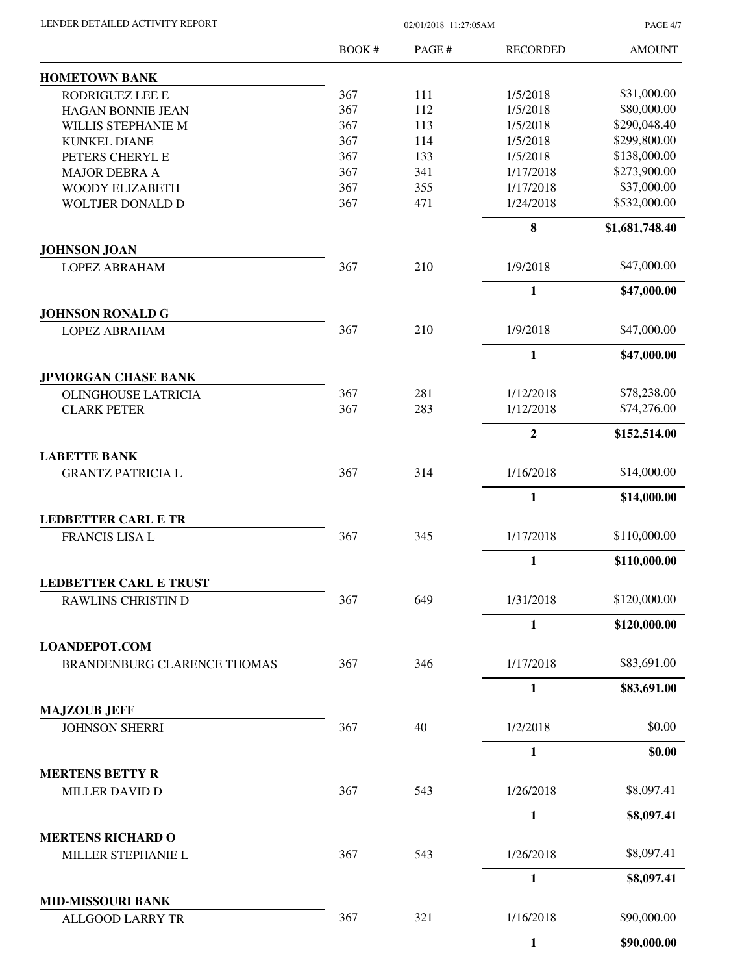| LENDER DETAILED ACTIVITY REPORT |  |
|---------------------------------|--|
|                                 |  |

02/01/2018 11:27:05AM

PAGE 4/7

|                                                            | BOOK # | PAGE # | <b>RECORDED</b> | <b>AMOUNT</b>  |
|------------------------------------------------------------|--------|--------|-----------------|----------------|
| <b>HOMETOWN BANK</b>                                       |        |        |                 |                |
| RODRIGUEZ LEE E                                            | 367    | 111    | 1/5/2018        | \$31,000.00    |
| <b>HAGAN BONNIE JEAN</b>                                   | 367    | 112    | 1/5/2018        | \$80,000.00    |
| WILLIS STEPHANIE M                                         | 367    | 113    | 1/5/2018        | \$290,048.40   |
| <b>KUNKEL DIANE</b>                                        | 367    | 114    | 1/5/2018        | \$299,800.00   |
| PETERS CHERYL E                                            | 367    | 133    | 1/5/2018        | \$138,000.00   |
| <b>MAJOR DEBRA A</b>                                       | 367    | 341    | 1/17/2018       | \$273,900.00   |
| WOODY ELIZABETH                                            | 367    | 355    | 1/17/2018       | \$37,000.00    |
| WOLTJER DONALD D                                           | 367    | 471    | 1/24/2018       | \$532,000.00   |
|                                                            |        |        | $\bf{8}$        | \$1,681,748.40 |
| <b>JOHNSON JOAN</b>                                        |        |        |                 |                |
| <b>LOPEZ ABRAHAM</b>                                       | 367    | 210    | 1/9/2018        | \$47,000.00    |
|                                                            |        |        | 1               | \$47,000.00    |
| <b>JOHNSON RONALD G</b>                                    |        |        |                 |                |
| <b>LOPEZ ABRAHAM</b>                                       | 367    | 210    | 1/9/2018        | \$47,000.00    |
|                                                            |        |        | $\mathbf{1}$    | \$47,000.00    |
| <b>JPMORGAN CHASE BANK</b><br><b>OLINGHOUSE LATRICIA</b>   | 367    | 281    | 1/12/2018       | \$78,238.00    |
| <b>CLARK PETER</b>                                         | 367    | 283    | 1/12/2018       | \$74,276.00    |
|                                                            |        |        | $\overline{2}$  | \$152,514.00   |
| <b>LABETTE BANK</b>                                        |        |        |                 |                |
| <b>GRANTZ PATRICIA L</b>                                   | 367    | 314    | 1/16/2018       | \$14,000.00    |
|                                                            |        |        | $\mathbf{1}$    | \$14,000.00    |
| <b>LEDBETTER CARL E TR</b>                                 |        |        |                 |                |
| <b>FRANCIS LISA L</b>                                      | 367    | 345    | 1/17/2018       | \$110,000.00   |
|                                                            |        |        | $\mathbf{1}$    | \$110,000.00   |
| <b>LEDBETTER CARL E TRUST</b>                              |        |        |                 |                |
| RAWLINS CHRISTIN D                                         | 367    | 649    | 1/31/2018       | \$120,000.00   |
|                                                            |        |        | $\mathbf{1}$    | \$120,000.00   |
| <b>LOANDEPOT.COM</b><br><b>BRANDENBURG CLARENCE THOMAS</b> | 367    | 346    | 1/17/2018       | \$83,691.00    |
|                                                            |        |        | $\mathbf{1}$    | \$83,691.00    |
| <b>MAJZOUB JEFF</b>                                        |        |        |                 |                |
| <b>JOHNSON SHERRI</b>                                      | 367    | 40     | 1/2/2018        | \$0.00         |
|                                                            |        |        | 1               | \$0.00         |
| <b>MERTENS BETTY R</b>                                     |        |        |                 |                |
| MILLER DAVID D                                             | 367    | 543    | 1/26/2018       | \$8,097.41     |
|                                                            |        |        | $\mathbf{1}$    | \$8,097.41     |
| <b>MERTENS RICHARD O</b><br>MILLER STEPHANIE L             | 367    | 543    | 1/26/2018       | \$8,097.41     |
|                                                            |        |        | $\mathbf{1}$    |                |
| <b>MID-MISSOURI BANK</b>                                   |        |        |                 | \$8,097.41     |
| <b>ALLGOOD LARRY TR</b>                                    | 367    | 321    | 1/16/2018       | \$90,000.00    |
|                                                            |        |        | $\mathbf{1}$    | \$90,000.00    |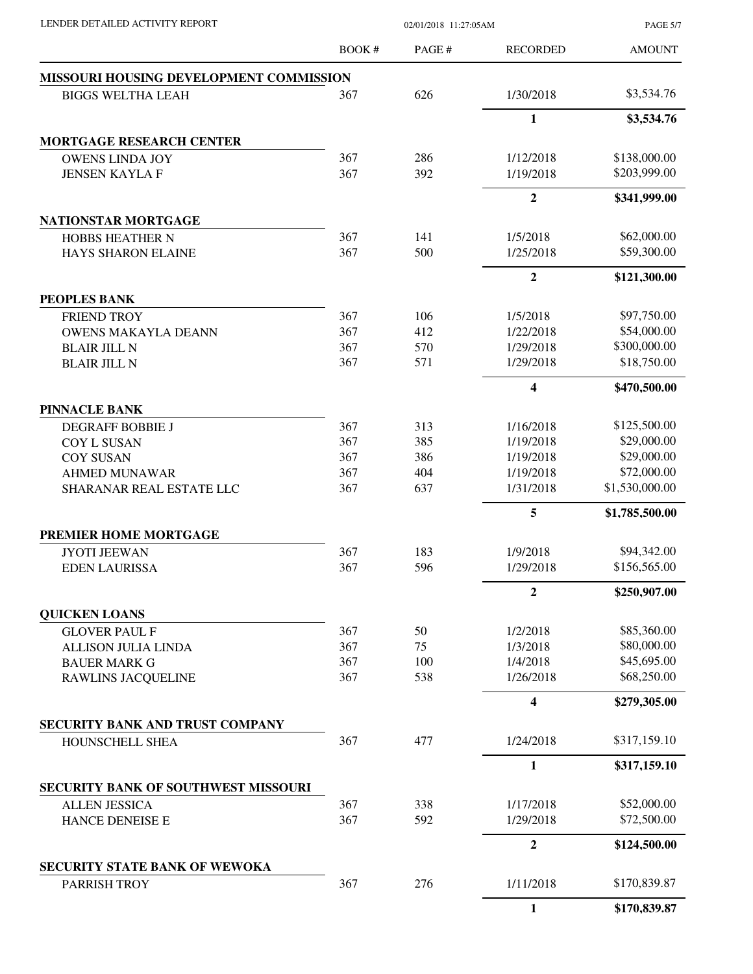| LENDER DETAILED ACTIVITY REPORT |  |
|---------------------------------|--|

02/01/2018 11:27:05AM

PAGE 5/7

|                                         | <b>BOOK#</b> | PAGE# | <b>RECORDED</b>         | <b>AMOUNT</b>  |
|-----------------------------------------|--------------|-------|-------------------------|----------------|
| MISSOURI HOUSING DEVELOPMENT COMMISSION |              |       |                         |                |
| <b>BIGGS WELTHA LEAH</b>                | 367          | 626   | 1/30/2018               | \$3,534.76     |
|                                         |              |       | $\mathbf{1}$            | \$3,534.76     |
| <b>MORTGAGE RESEARCH CENTER</b>         |              |       |                         |                |
| <b>OWENS LINDA JOY</b>                  | 367          | 286   | 1/12/2018               | \$138,000.00   |
| <b>JENSEN KAYLA F</b>                   | 367          | 392   | 1/19/2018               | \$203,999.00   |
|                                         |              |       | $\overline{2}$          | \$341,999.00   |
| NATIONSTAR MORTGAGE                     |              |       |                         |                |
| HOBBS HEATHER N                         | 367          | 141   | 1/5/2018                | \$62,000.00    |
| <b>HAYS SHARON ELAINE</b>               | 367          | 500   | 1/25/2018               | \$59,300.00    |
|                                         |              |       | $\overline{2}$          | \$121,300.00   |
| PEOPLES BANK                            |              |       |                         |                |
| <b>FRIEND TROY</b>                      | 367          | 106   | 1/5/2018                | \$97,750.00    |
| <b>OWENS MAKAYLA DEANN</b>              | 367          | 412   | 1/22/2018               | \$54,000.00    |
| <b>BLAIR JILL N</b>                     | 367          | 570   | 1/29/2018               | \$300,000.00   |
| <b>BLAIR JILL N</b>                     | 367          | 571   | 1/29/2018               | \$18,750.00    |
|                                         |              |       | $\overline{\mathbf{4}}$ | \$470,500.00   |
| <b>PINNACLE BANK</b>                    |              |       |                         |                |
| <b>DEGRAFF BOBBIE J</b>                 | 367          | 313   | 1/16/2018               | \$125,500.00   |
| <b>COY L SUSAN</b>                      | 367          | 385   | 1/19/2018               | \$29,000.00    |
| <b>COY SUSAN</b>                        | 367          | 386   | 1/19/2018               | \$29,000.00    |
| <b>AHMED MUNAWAR</b>                    | 367          | 404   | 1/19/2018               | \$72,000.00    |
| SHARANAR REAL ESTATE LLC                | 367          | 637   | 1/31/2018               | \$1,530,000.00 |
|                                         |              |       | 5                       | \$1,785,500.00 |
| PREMIER HOME MORTGAGE                   |              |       |                         |                |
| <b>JYOTI JEEWAN</b>                     | 367          | 183   | 1/9/2018                | \$94,342.00    |
| <b>EDEN LAURISSA</b>                    | 367          | 596   | 1/29/2018               | \$156,565.00   |
|                                         |              |       | $\overline{2}$          | \$250,907.00   |
| <b>QUICKEN LOANS</b>                    |              |       |                         |                |
| <b>GLOVER PAUL F</b>                    | 367          | 50    | 1/2/2018                | \$85,360.00    |
| <b>ALLISON JULIA LINDA</b>              | 367          | 75    | 1/3/2018                | \$80,000.00    |
| <b>BAUER MARK G</b>                     | 367          | 100   | 1/4/2018                | \$45,695.00    |
| RAWLINS JACQUELINE                      | 367          | 538   | 1/26/2018               | \$68,250.00    |
|                                         |              |       | 4                       | \$279,305.00   |
| SECURITY BANK AND TRUST COMPANY         |              |       |                         |                |
| HOUNSCHELL SHEA                         | 367          | 477   | 1/24/2018               | \$317,159.10   |
|                                         |              |       | 1                       | \$317,159.10   |
| SECURITY BANK OF SOUTHWEST MISSOURI     |              |       |                         |                |
| <b>ALLEN JESSICA</b>                    | 367          | 338   | 1/17/2018               | \$52,000.00    |
| HANCE DENEISE E                         | 367          | 592   | 1/29/2018               | \$72,500.00    |
|                                         |              |       | $\boldsymbol{2}$        | \$124,500.00   |
| <b>SECURITY STATE BANK OF WEWOKA</b>    |              |       |                         |                |
| PARRISH TROY                            | 367          | 276   | 1/11/2018               | \$170,839.87   |
|                                         |              |       | 1                       | \$170,839.87   |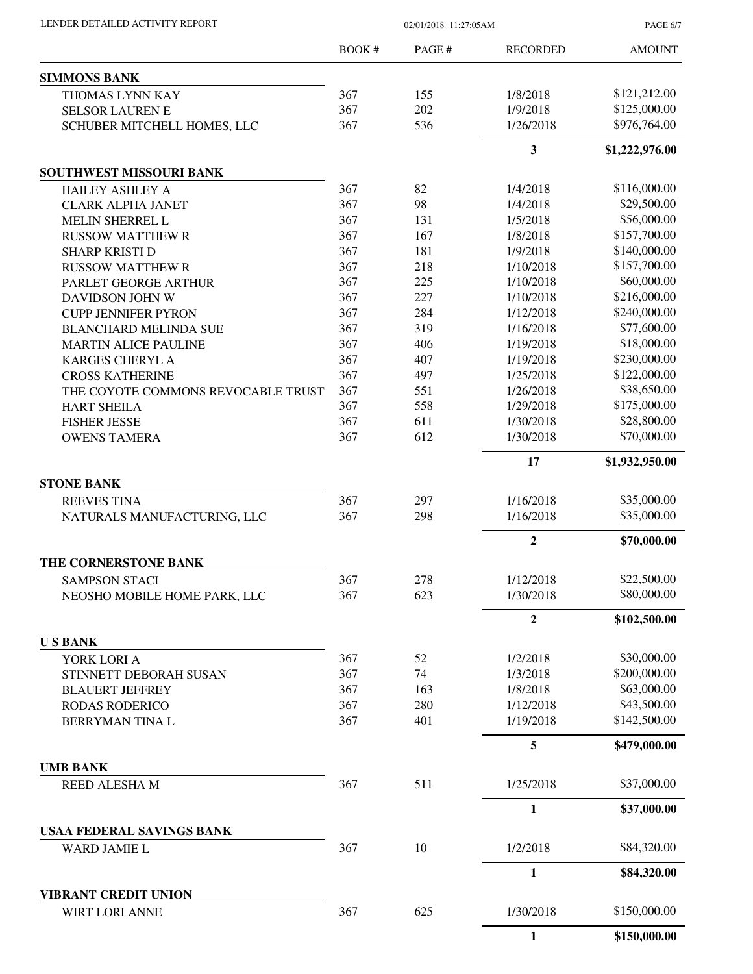|                                    | <b>BOOK#</b> | PAGE# | <b>RECORDED</b> | <b>AMOUNT</b>  |
|------------------------------------|--------------|-------|-----------------|----------------|
| <b>SIMMONS BANK</b>                |              |       |                 |                |
| THOMAS LYNN KAY                    | 367          | 155   | 1/8/2018        | \$121,212.00   |
| <b>SELSOR LAUREN E</b>             | 367          | 202   | 1/9/2018        | \$125,000.00   |
| SCHUBER MITCHELL HOMES, LLC        | 367          | 536   | 1/26/2018       | \$976,764.00   |
|                                    |              |       | 3               | \$1,222,976.00 |
| SOUTHWEST MISSOURI BANK            |              |       |                 |                |
| <b>HAILEY ASHLEY A</b>             | 367          | 82    | 1/4/2018        | \$116,000.00   |
| <b>CLARK ALPHA JANET</b>           | 367          | 98    | 1/4/2018        | \$29,500.00    |
| MELIN SHERREL L                    | 367          | 131   | 1/5/2018        | \$56,000.00    |
| <b>RUSSOW MATTHEW R</b>            | 367          | 167   | 1/8/2018        | \$157,700.00   |
| <b>SHARP KRISTI D</b>              | 367          | 181   | 1/9/2018        | \$140,000.00   |
| <b>RUSSOW MATTHEW R</b>            | 367          | 218   | 1/10/2018       | \$157,700.00   |
| PARLET GEORGE ARTHUR               | 367          | 225   | 1/10/2018       | \$60,000.00    |
| DAVIDSON JOHN W                    | 367          | 227   | 1/10/2018       | \$216,000.00   |
| <b>CUPP JENNIFER PYRON</b>         | 367          | 284   | 1/12/2018       | \$240,000.00   |
| <b>BLANCHARD MELINDA SUE</b>       | 367          | 319   | 1/16/2018       | \$77,600.00    |
| <b>MARTIN ALICE PAULINE</b>        | 367          | 406   | 1/19/2018       | \$18,000.00    |
| <b>KARGES CHERYL A</b>             | 367          | 407   | 1/19/2018       | \$230,000.00   |
| <b>CROSS KATHERINE</b>             | 367          | 497   | 1/25/2018       | \$122,000.00   |
| THE COYOTE COMMONS REVOCABLE TRUST | 367          | 551   | 1/26/2018       | \$38,650.00    |
| <b>HART SHEILA</b>                 | 367          | 558   | 1/29/2018       | \$175,000.00   |
| <b>FISHER JESSE</b>                | 367          | 611   | 1/30/2018       | \$28,800.00    |
| <b>OWENS TAMERA</b>                | 367          | 612   | 1/30/2018       | \$70,000.00    |
|                                    |              |       | 17              | \$1,932,950.00 |
| <b>STONE BANK</b>                  |              |       |                 |                |
| <b>REEVES TINA</b>                 | 367          | 297   | 1/16/2018       | \$35,000.00    |
| NATURALS MANUFACTURING, LLC        | 367          | 298   | 1/16/2018       | \$35,000.00    |
|                                    |              |       | $\overline{2}$  | \$70,000.00    |
| THE CORNERSTONE BANK               |              |       |                 |                |
| <b>SAMPSON STACI</b>               | 367          | 278   | 1/12/2018       | \$22,500.00    |
| NEOSHO MOBILE HOME PARK, LLC       | 367          | 623   | 1/30/2018       | \$80,000.00    |
|                                    |              |       | $\mathbf{2}$    | \$102,500.00   |
| <b>USBANK</b>                      |              |       |                 |                |
| YORK LORI A                        | 367          | 52    | 1/2/2018        | \$30,000.00    |
| STINNETT DEBORAH SUSAN             | 367          | 74    | 1/3/2018        | \$200,000.00   |
| <b>BLAUERT JEFFREY</b>             | 367          | 163   | 1/8/2018        | \$63,000.00    |
| <b>RODAS RODERICO</b>              | 367          | 280   | 1/12/2018       | \$43,500.00    |
| BERRYMAN TINA L                    | 367          | 401   | 1/19/2018       | \$142,500.00   |
|                                    |              |       | 5               | \$479,000.00   |
| <b>UMB BANK</b>                    |              |       |                 |                |
| REED ALESHA M                      | 367          | 511   | 1/25/2018       | \$37,000.00    |
|                                    |              |       | $\mathbf{1}$    | \$37,000.00    |
| USAA FEDERAL SAVINGS BANK          | 367          | 10    | 1/2/2018        | \$84,320.00    |
| <b>WARD JAMIE L</b>                |              |       |                 |                |
|                                    |              |       | $\mathbf{1}$    | \$84,320.00    |
| <b>VIBRANT CREDIT UNION</b>        |              |       |                 |                |
| WIRT LORI ANNE                     | 367          | 625   | 1/30/2018       | \$150,000.00   |
|                                    |              |       | 1               | \$150,000.00   |

LENDER DETAILED ACTIVITY REPORT 02/01/2018 11:27:05AM

PAGE 6/7